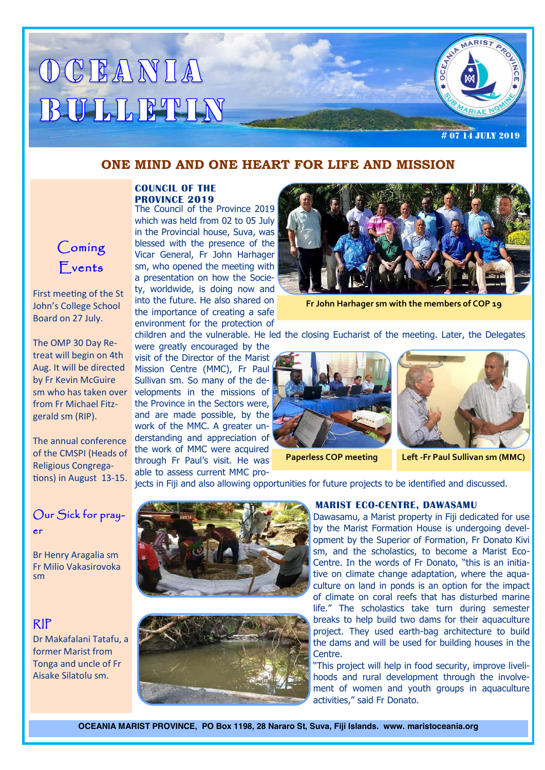# OCEANIA BULLETIN

# 07 14 July 2019

### **ONE MIND AND ONE HEART FOR LIFE AND MISSION**

#### **COUNCIL OF THE PROVINCE 2019**

The Council of the Province 2019 which was held from 02 to 05 July in the Provincial house, Suva, was blessed with the presence of the Vicar General, Fr John Harhager sm, who opened the meeting with a presentation on how the Society, worldwide, is doing now and into the future. He also shared on the importance of creating a safe environment for the protection of

were greatly encouraged by the

sm who has taken over velopments in the missions of visit of the Director of the Marist Mission Centre (MMC), Fr Paul Sullivan sm. So many of the dethe Province in the Sectors were, and are made possible, by the work of the MMC. A greater understanding and appreciation of the work of MMC were acquired through Fr Paul's visit. He was able to assess current MMC pro-



**Fr John Harhager sm with the members of COP 19**

children and the vulnerable. He led the closing Eucharist of the meeting. Later, the Delegates





**Paperless COP meeting Left -Fr Paul Sullivan sm (MMC)** 

jects in Fiji and also allowing opportunities for future projects to be identified and discussed.

## Our Sick for prayer

Br Henry Aragalia sm Fr Milio Vakasirovoka sm

## RIP

Dr Makafalani Tatafu, a former Marist from Tonga and uncle of Fr Aisake Silatolu sm.





#### **MARIST ECO-CENTRE, DAWASAMU**

Dawasamu, a Marist property in Fiji dedicated for use by the Marist Formation House is undergoing development by the Superior of Formation, Fr Donato Kivi sm, and the scholastics, to become a Marist Eco-Centre. In the words of Fr Donato, "this is an initiative on climate change adaptation, where the aquaculture on land in ponds is an option for the impact of climate on coral reefs that has disturbed marine life." The scholastics take turn during semester breaks to help build two dams for their aquaculture project. They used earth-bag architecture to build the dams and will be used for building houses in the Centre.

"This project will help in food security, improve livelihoods and rural development through the involvement of women and youth groups in aquaculture activities," said Fr Donato.

**OCEANIA MARIST PROVINCE, PO Box 1198, 28 Nararo St, Suva, Fiji Islands. www. maristoceania.org**



First meeting of the St John's College School Board on 27 July.

The OMP 30 Day Retreat will begin on 4th Aug. It will be directed by Fr Kevin McGuire from Fr Michael Fitzgerald sm (RIP).

The annual conference of the CMSPI (Heads of Religious Congregations) in August 13-15.